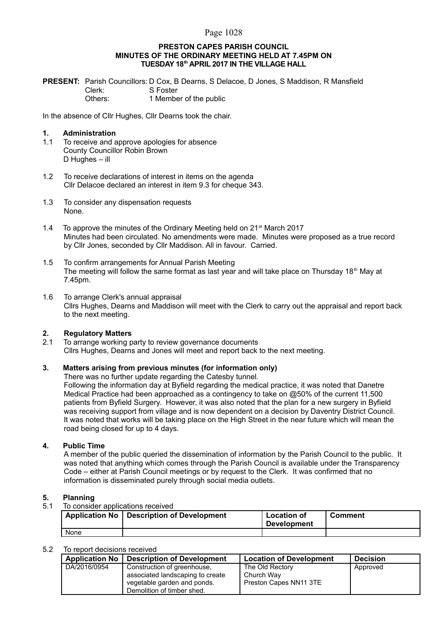#### Page 1028

#### **PRESTON CAPES PARISH COUNCIL MINUTES OF THE ORDINARY MEETING HELD AT 7.45PM ON TUESDAY 18th APRIL 2017 IN THE VILLAGE HALL**

**PRESENT:** Parish Councillors: D Cox, B Dearns, S Delacoe, D Jones, S Maddison, R Mansfield Clerk: S Foster Others: 1 Member of the public

In the absence of Cllr Hughes, Cllr Dearns took the chair.

#### **1. Administration**

- 1.1 To receive and approve apologies for absence County Councillor Robin Brown D Hughes – ill
- 1.2 To receive declarations of interest in items on the agenda Cllr Delacoe declared an interest in item 9.3 for cheque 343.
- 1.3 To consider any dispensation requests None.
- 1.4 To approve the minutes of the Ordinary Meeting held on  $21^{st}$  March 2017 Minutes had been circulated. No amendments were made. Minutes were proposed as a true record by Cllr Jones, seconded by Cllr Maddison. All in favour. Carried.
- 1.5 To confirm arrangements for Annual Parish Meeting The meeting will follow the same format as last year and will take place on Thursday  $18<sup>th</sup>$  May at 7.45pm.
- 1.6 To arrange Clerk's annual appraisal Cllrs Hughes, Dearns and Maddison will meet with the Clerk to carry out the appraisal and report back to the next meeting.

#### **2. Regulatory Matters**

2.1 To arrange working party to review governance documents Cllrs Hughes, Dearns and Jones will meet and report back to the next meeting.

### **3. Matters arising from previous minutes (for information only)**

There was no further update regarding the Catesby tunnel. Following the information day at Byfield regarding the medical practice, it was noted that Danetre Medical Practice had been approached as a contingency to take on @50% of the current 11,500 patients from Byfield Surgery. However, it was also noted that the plan for a new surgery in Byfield was receiving support from village and is now dependent on a decision by Daventry District Council. It was noted that works will be taking place on the High Street in the near future which will mean the

#### **4. Public Time**

A member of the public queried the dissemination of information by the Parish Council to the public. It was noted that anything which comes through the Parish Council is available under the Transparency Code – either at Parish Council meetings or by request to the Clerk. It was confirmed that no information is disseminated purely through social media outlets.

# **5. Planning**

To consider applications received

road being closed for up to 4 days.

|      | Application No   Description of Development | <b>Location of</b><br><b>Development</b> | Comment |
|------|---------------------------------------------|------------------------------------------|---------|
| None |                                             |                                          |         |

#### 5.2 To report decisions received

| <b>Application No</b> | <b>Description of Development</b>                                                                                            | <b>Location of Development</b>                          | <b>Decision</b> |
|-----------------------|------------------------------------------------------------------------------------------------------------------------------|---------------------------------------------------------|-----------------|
| DA/2016/0954          | Construction of greenhouse,<br>associated landscaping to create<br>vegetable garden and ponds.<br>Demolition of timber shed. | The Old Rectory<br>Church Way<br>Preston Capes NN11 3TE | Approved        |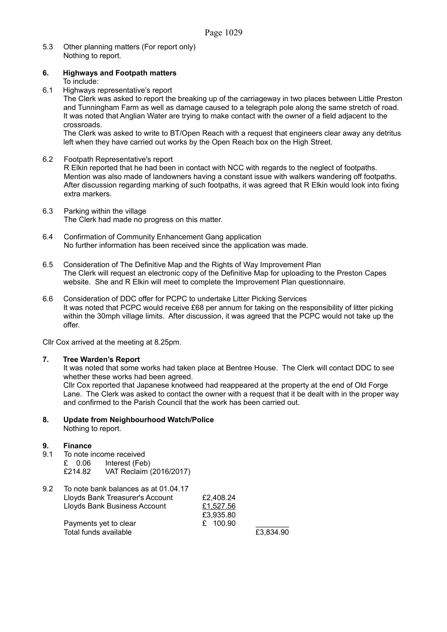5.3 Other planning matters (For report only) Nothing to report.

#### **6. Highways and Footpath matters**

To include:

6.1 Highways representative's report

The Clerk was asked to report the breaking up of the carriageway in two places between Little Preston and Tunningham Farm as well as damage caused to a telegraph pole along the same stretch of road. It was noted that Anglian Water are trying to make contact with the owner of a field adjacent to the crossroads.

The Clerk was asked to write to BT/Open Reach with a request that engineers clear away any detritus left when they have carried out works by the Open Reach box on the High Street.

#### 6.2 Footpath Representative's report

R Elkin reported that he had been in contact with NCC with regards to the neglect of footpaths. Mention was also made of landowners having a constant issue with walkers wandering off footpaths. After discussion regarding marking of such footpaths, it was agreed that R Elkin would look into fixing extra markers.

- 6.3 Parking within the village The Clerk had made no progress on this matter.
- 6.4 Confirmation of Community Enhancement Gang application No further information has been received since the application was made.
- 6.5 Consideration of The Definitive Map and the Rights of Way Improvement Plan The Clerk will request an electronic copy of the Definitive Map for uploading to the Preston Capes website. She and R Elkin will meet to complete the Improvement Plan questionnaire.
- 6.6 Consideration of DDC offer for PCPC to undertake Litter Picking Services It was noted that PCPC would receive £68 per annum for taking on the responsibility of litter picking within the 30mph village limits. After discussion, it was agreed that the PCPC would not take up the offer.

Cllr Cox arrived at the meeting at 8.25pm.

#### **7. Tree Warden's Report**

It was noted that some works had taken place at Bentree House. The Clerk will contact DDC to see whether these works had been agreed.

Cllr Cox reported that Japanese knotweed had reappeared at the property at the end of Old Forge Lane. The Clerk was asked to contact the owner with a request that it be dealt with in the proper way and confirmed to the Parish Council that the work has been carried out.

# **8. Update from Neighbourhood Watch/Police**

Nothing to report.

## **9. Finance**

- 9.1 To note income received
	- £ 0.06 Interest (Feb)
	- £214.82 VAT Reclaim (2016/2017)

| 9.2 | To note bank balances as at 01.04.17 |           |           |
|-----|--------------------------------------|-----------|-----------|
|     | Lloyds Bank Treasurer's Account      | £2.408.24 |           |
|     | Lloyds Bank Business Account         | £1.527.56 |           |
|     |                                      | £3,935.80 |           |
|     | Payments yet to clear                | £ 100.90  |           |
|     | Total funds available                |           | £3,834.90 |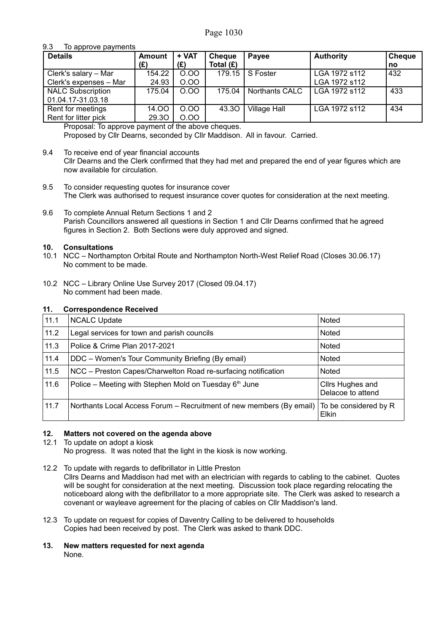#### 9.3 To approve payments

| <b>Details</b>           | <b>Amount</b> | + VAT | <b>Cheque</b> | <b>Pavee</b>        | <b>Authority</b> | <b>Cheque</b> |
|--------------------------|---------------|-------|---------------|---------------------|------------------|---------------|
|                          | (£)           | (£)   | Total $(E)$   |                     |                  | no            |
| Clerk's salary - Mar     | 154.22        | 0.00  | 179.15        | S Foster            | LGA 1972 s112    | 432           |
| Clerk's expenses - Mar   | 24.93         | 0.00  |               |                     | LGA 1972 s112    |               |
| <b>NALC Subscription</b> | 175.04        | 0.00  | 175.04        | Northants CALC      | l LGA 1972 s112  | 433           |
| 01.04.17-31.03.18        |               |       |               |                     |                  |               |
| Rent for meetings        | 14.00         | 0.00  | 43.30         | <b>Village Hall</b> | LGA 1972 s112    | 434           |
| Rent for litter pick     | 29.30         | 0.00  |               |                     |                  |               |

Proposal: To approve payment of the above cheques. Proposed by Cllr Dearns, seconded by Cllr Maddison. All in favour. Carried.

9.4 To receive end of year financial accounts Cllr Dearns and the Clerk confirmed that they had met and prepared the end of year figures which are now available for circulation.

- 9.5 To consider requesting quotes for insurance cover The Clerk was authorised to request insurance cover quotes for consideration at the next meeting.
- 9.6 To complete Annual Return Sections 1 and 2 Parish Councillors answered all questions in Section 1 and Cllr Dearns confirmed that he agreed figures in Section 2. Both Sections were duly approved and signed.

#### **10. Consultations**

- 10.1 NCC Northampton Orbital Route and Northampton North-West Relief Road (Closes 30.06.17) No comment to be made.
- 10.2 NCC Library Online Use Survey 2017 (Closed 09.04.17) No comment had been made.

#### **11. Correspondence Received**

| 11.1 | <b>NCALC Update</b>                                                                        | Noted                                 |
|------|--------------------------------------------------------------------------------------------|---------------------------------------|
| 11.2 | Legal services for town and parish councils                                                | Noted                                 |
| 11.3 | Police & Crime Plan 2017-2021                                                              | <b>Noted</b>                          |
| 11.4 | DDC - Women's Tour Community Briefing (By email)                                           | Noted                                 |
| 11.5 | NCC - Preston Capes/Charwelton Road re-surfacing notification                              | <b>Noted</b>                          |
| 11.6 | Police – Meeting with Stephen Mold on Tuesday $6th$ June                                   | Cllrs Hughes and<br>Delacoe to attend |
| 11.7 | Northants Local Access Forum – Recruitment of new members (By email) To be considered by R | Elkin                                 |

#### **12. Matters not covered on the agenda above**

#### 12.1 To update on adopt a kiosk

No progress. It was noted that the light in the kiosk is now working.

12.2 To update with regards to defibrillator in Little Preston

Cllrs Dearns and Maddison had met with an electrician with regards to cabling to the cabinet. Quotes will be sought for consideration at the next meeting. Discussion took place regarding relocating the noticeboard along with the defibrillator to a more appropriate site. The Clerk was asked to research a covenant or wayleave agreement for the placing of cables on Cllr Maddison's land.

- 12.3 To update on request for copies of Daventry Calling to be delivered to households Copies had been received by post. The Clerk was asked to thank DDC.
- **13. New matters requested for next agenda** None.